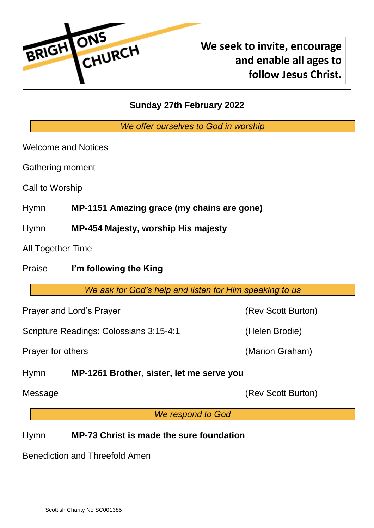

# **Sunday 27th February 2022**

*We offer ourselves to God in worship*

Welcome and Notices

Gathering moment

Call to Worship

Hymn **MP-1151 Amazing grace (my chains are gone)**

Hymn **MP-454 Majesty, worship His majesty**

All Together Time

Praise **I'm following the King**

*We ask for God's help and listen for Him speaking to us*

Prayer and Lord's Prayer (Rev Scott Burton)

Scripture Readings: Colossians 3:15-4:1 (Helen Brodie)

Prayer for others (Marion Graham)

Hymn **MP-1261 Brother, sister, let me serve you**

Message **(Rev Scott Burton)** 

*We respond to God*

# Hymn **MP-73 Christ is made the sure foundation**

Benediction and Threefold Amen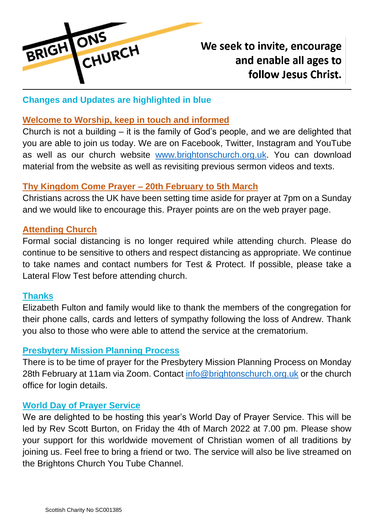

# We seek to invite, encourage and enable all ages to follow Jesus Christ.

# **Changes and Updates are highlighted in blue**

### **Welcome to Worship, keep in touch and informed**

Church is not a building – it is the family of God's people, and we are delighted that you are able to join us today. We are on Facebook, Twitter, Instagram and YouTube as well as our church website [www.brightonschurch.org.uk.](http://www.brightonschurch.org.uk/) You can download material from the website as well as revisiting previous sermon videos and texts.

# **Thy Kingdom Come Prayer – 20th February to 5th March**

Christians across the UK have been setting time aside for prayer at 7pm on a Sunday and we would like to encourage this. Prayer points are on the web prayer page.

#### **Attending Church**

Formal social distancing is no longer required while attending church. Please do continue to be sensitive to others and respect distancing as appropriate. We continue to take names and contact numbers for Test & Protect. If possible, please take a Lateral Flow Test before attending church.

#### **Thanks**

Elizabeth Fulton and family would like to thank the members of the congregation for their phone calls, cards and letters of sympathy following the loss of Andrew. Thank you also to those who were able to attend the service at the crematorium.

#### **Presbytery Mission Planning Process**

There is to be time of prayer for the Presbytery Mission Planning Process on Monday 28th February at 11am via Zoom. Contact [info@brightonschurch.org.uk](mailto:info@brightonschurch.org.uk) or the church office for login details.

# **World Day of Prayer Service**

We are delighted to be hosting this year's World Day of Prayer Service. This will be led by Rev Scott Burton, on Friday the 4th of March 2022 at 7.00 pm. Please show your support for this worldwide movement of Christian women of all traditions by joining us. Feel free to bring a friend or two. The service will also be live streamed on the Brightons Church You Tube Channel.